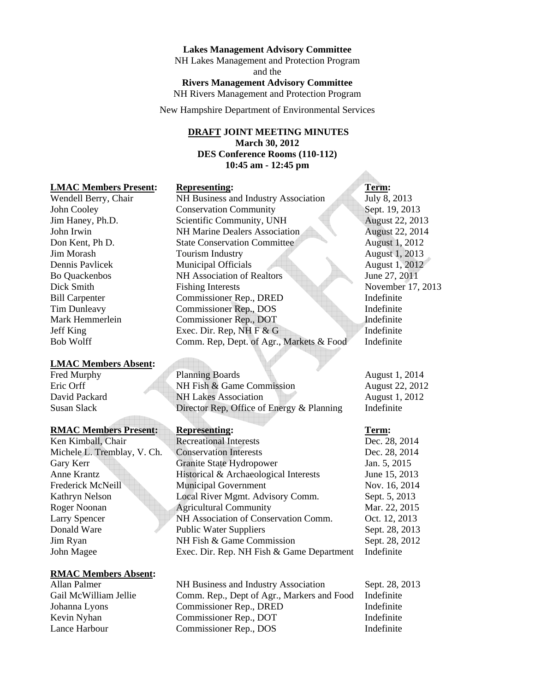#### **Lakes Management Advisory Committee**

NH Lakes Management and Protection Program and the **Rivers Management Advisory Committee**  NH Rivers Management and Protection Program

New Hampshire Department of Environmental Services

# **DRAFT JOINT MEETING MINUTES March 30, 2012 DES Conference Rooms (110-112) 10:45 am - 12:45 pm**

#### **LMAC Members Present: Representing: Term:**  Term:

#### **LMAC Members Absent:**

# **RMAC Members Present: Representing: Term: 7 COVID-100 PERMIT REPRIMENT:**

#### **RMAC Members Absent:**

# Wendell Berry, Chair NH Business and Industry Association July 8, 2013 John Cooley Conservation Community Sept. 19, 2013 Jim Haney, Ph.D. Scientific Community, UNH August 22, 2013 John Irwin NH Marine Dealers Association August 22, 2014 Don Kent, Ph D. State Conservation Committee August 1, 2012 Jim Morash Tourism Industry August 1, 2013 Dennis Pavlicek Municipal Officials August 1, 2012 Bo Quackenbos NH Association of Realtors June 27, 2011 Dick Smith Fishing Interests November 17, 2013 Bill Carpenter Commissioner Rep., DRED Indefinite Tim Dunleavy Commissioner Rep., DOS Indefinite Mark Hemmerlein Commissioner Rep., DOT Indefinite Jeff King Exec. Dir. Rep, NH F & G Indefinite Bob Wolff Comm. Rep, Dept. of Agr., Markets & Food Indefinite

Fred Murphy Planning Boards August 1, 2014 Eric Orff NH Fish & Game Commission August 22, 2012 David Packard NH Lakes Association August 1, 2012 Susan Slack Director Rep, Office of Energy & Planning Indefinite

Ken Kimball, Chair Recreational Interests Dec. 28, 2014 Michele L. Tremblay, V. Ch. Conservation Interests Dec. 28, 2014 Gary Kerr Granite State Hydropower Jan. 5, 2015 Anne Krantz Historical & Archaeological Interests June 15, 2013 Frederick McNeill Municipal Government Nov. 16, 2014 Kathryn Nelson Local River Mgmt. Advisory Comm. Sept. 5, 2013 Roger Noonan **Agricultural Community** Mar. 22, 2015 Larry Spencer NH Association of Conservation Comm. Oct. 12, 2013 Donald Ware Public Water Suppliers Sept. 28, 2013 Jim Ryan NH Fish & Game Commission Sept. 28, 2012 John Magee Exec. Dir. Rep. NH Fish & Game Department Indefinite

Allan Palmer NH Business and Industry Association Sept. 28, 2013 Gail McWilliam Jellie Comm. Rep., Dept of Agr., Markers and Food Indefinite Johanna Lyons Commissioner Rep., DRED Indefinite Kevin Nyhan Commissioner Rep., DOT Indefinite Lance Harbour Commissioner Rep., DOS Indefinite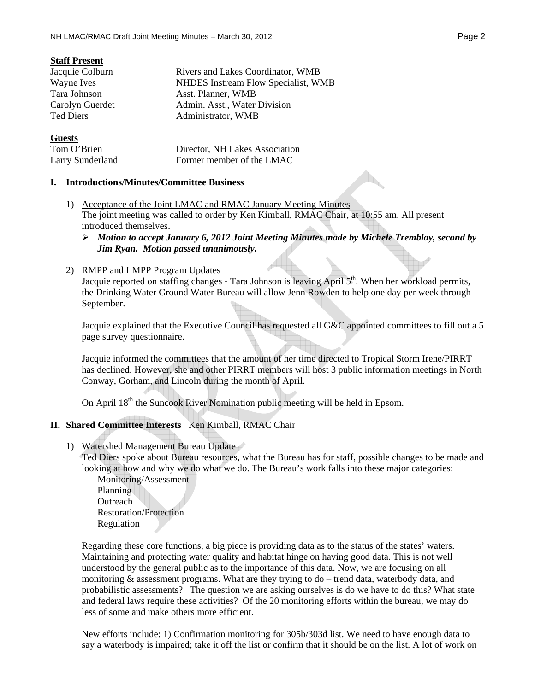# **Staff Present**

| Jacquie Colburn  | Rivers and Lakes Coordinator, WMB   |
|------------------|-------------------------------------|
| Wayne Ives       | NHDES Instream Flow Specialist, WMB |
| Tara Johnson     | Asst. Planner, WMB                  |
| Carolyn Guerdet  | Admin. Asst., Water Division        |
| <b>Ted Diers</b> | Administrator, WMB                  |
| <b>Guests</b>    |                                     |

| Tom O'Brien      | Director, NH Lakes Association |
|------------------|--------------------------------|
| Larry Sunderland | Former member of the LMAC      |

## **I. Introductions/Minutes/Committee Business**

1) Acceptance of the Joint LMAC and RMAC January Meeting Minutes The joint meeting was called to order by Ken Kimball, RMAC Chair, at 10:55 am. All present introduced themselves.

# ¾ *Motion to accept January 6, 2012 Joint Meeting Minutes made by Michele Tremblay, second by Jim Ryan. Motion passed unanimously.*

## 2) RMPP and LMPP Program Updates

Jacquie reported on staffing changes - Tara Johnson is leaving April 5<sup>th</sup>. When her workload permits, the Drinking Water Ground Water Bureau will allow Jenn Rowden to help one day per week through September.

Jacquie explained that the Executive Council has requested all G&C appointed committees to fill out a 5 page survey questionnaire.

Jacquie informed the committees that the amount of her time directed to Tropical Storm Irene/PIRRT has declined. However, she and other PIRRT members will host 3 public information meetings in North Conway, Gorham, and Lincoln during the month of April.

On April 18<sup>th</sup> the Suncook River Nomination public meeting will be held in Epsom.

# **II. Shared Committee Interests** Ken Kimball, RMAC Chair

1) Watershed Management Bureau Update

Ted Diers spoke about Bureau resources, what the Bureau has for staff, possible changes to be made and looking at how and why we do what we do. The Bureau's work falls into these major categories:

Monitoring/Assessment Planning **Outreach** Restoration/Protection Regulation

Regarding these core functions, a big piece is providing data as to the status of the states' waters. Maintaining and protecting water quality and habitat hinge on having good data. This is not well understood by the general public as to the importance of this data. Now, we are focusing on all monitoring & assessment programs. What are they trying to do – trend data, waterbody data, and probabilistic assessments? The question we are asking ourselves is do we have to do this? What state and federal laws require these activities? Of the 20 monitoring efforts within the bureau, we may do less of some and make others more efficient.

New efforts include: 1) Confirmation monitoring for 305b/303d list. We need to have enough data to say a waterbody is impaired; take it off the list or confirm that it should be on the list. A lot of work on